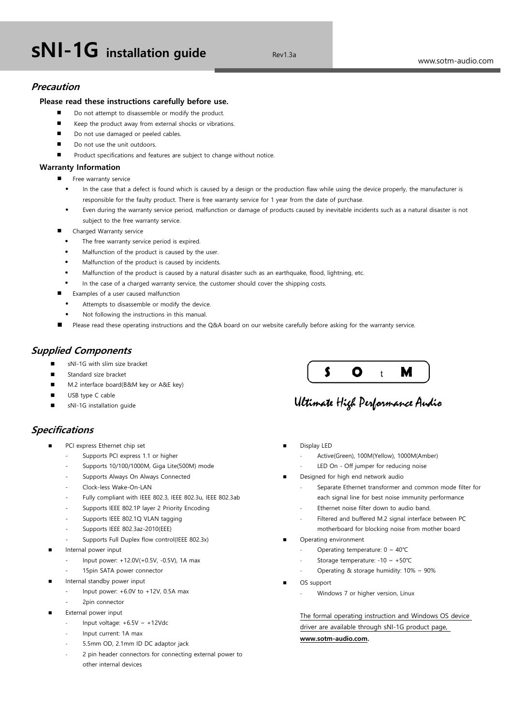# **sNI-1G** installation guide **Revilled Revilled**

# **Precaution**

## **Please read these instructions carefully before use.**

- Do not attempt to disassemble or modify the product.
- Keep the product away from external shocks or vibrations.
- Do not use damaged or peeled cables.
- Do not use the unit outdoors.
- Product specifications and features are subject to change without notice.

## **Warranty Information**

- Free warranty service
	- In the case that a defect is found which is caused by a design or the production flaw while using the device properly, the manufacturer is responsible for the faulty product. There is free warranty service for 1 year from the date of purchase.
	- Even during the warranty service period, malfunction or damage of products caused by inevitable incidents such as a natural disaster is not subject to the free warranty service.
- Charged Warranty service
	- The free warranty service period is expired.
	- Malfunction of the product is caused by the user.
	- Malfunction of the product is caused by incidents.
	- Malfunction of the product is caused by a natural disaster such as an earthquake, flood, lightning, etc.
	- In the case of a charged warranty service, the customer should cover the shipping costs.
- Examples of a user caused malfunction
	- Attempts to disassemble or modify the device.
	- Not following the instructions in this manual.
- Please read these operating instructions and the Q&A board on our website carefully before asking for the warranty service.

## **Supplied Components**

- sNI-1G with slim size bracket
- Standard size bracket
- M.2 interface board(B&M key or A&E key)
- USB type C cable
- sNI-1G installation guide

# **Specifications**

- PCI express Ethernet chip set
	- Supports PCI express 1.1 or higher
	- Supports 10/100/1000M, Giga Lite(500M) mode
	- Supports Always On Always Connected
	- Clock-less Wake-On-LAN
	- Fully compliant with IEEE 802.3, IEEE 802.3u, IEEE 802.3ab
	- Supports IEEE 802.1P layer 2 Priority Encoding
	- Supports IEEE 802.1Q VLAN tagging
	- Supports IEEE 802.3az-2010(EEE)
	- Supports Full Duplex flow control(IEEE 802.3x)
- Internal power input
	- Input power: +12.0V(+0.5V, -0.5V), 1A max
	- 15pin SATA power connector
- Internal standby power input
	- Input power:  $+6.0V$  to  $+12V$ , 0.5A max
- 2pin connector
- External power input
	- Input voltage:  $+6.5V \sim +12Vdc$
	- Input current: 1A max
	- 5.5mm OD, 2.1mm ID DC adaptor jack
	- 2 pin header connectors for connecting external power to other internal devices



# Ultimate High Performance Audio

- Display LED
	- Active(Green), 100M(Yellow), 1000M(Amber)
	- LED On Off jumper for reducing noise
- Designed for high end network audio
	- Separate Ethernet transformer and common mode filter for each signal line for best noise immunity performance
	- Ethernet noise filter down to audio band.
	- Filtered and buffered M.2 signal interface between PC
	- motherboard for blocking noise from mother board
- Operating environment
	- Operating temperature:  $0 \sim 40^{\circ}C$
	- Storage temperature: -10 ~ +50℃
	- Operating & storage humidity:  $10\% \sim 90\%$
- OS support
	- Windows 7 or higher version, Linux

The formal operating instruction and Windows OS device driver are available through sNI-1G product page, **www.sotm-audio.com.**